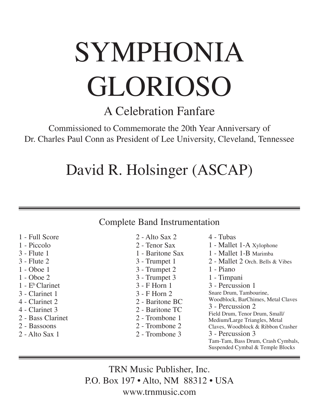# SYMPHONIA GLORIOSO

A Celebration Fanfare

Commissioned to Commemorate the 20th Year Anniversary of Dr. Charles Paul Conn as President of Lee University, Cleveland, Tennessee

## David R. Holsinger (ASCAP)

## Complete Band Instrumentation

- 1 Full Score
- 1 Piccolo
- 3 Flute 1
- 3 Flute 2
- 1 Oboe 1
- 1 Oboe 2
- $1 E^b$  Clarinet
- 3 Clarinet 1
- 4 Clarinet 2
- 4 Clarinet 3
- 2 Bass Clarinet
- 2 Bassoons
- 2 Alto Sax 1
- $2 -$ Alto Sax  $2$
- 2 Tenor Sax 1 - Baritone Sax 3 - Trumpet 1 3 - Trumpet 2 3 - Trumpet 3 3 - F Horn 1 3 - F Horn 2 2 - Baritone BC 2 - Baritone TC 2 - Trombone 1 2 - Trombone 2 2 - Trombone 3
- 4 Tubas
- 1 Mallet 1-A Xylophone 1 - Mallet 1-B Marimba 2 - Mallet 2 Orch. Bells & Vibes 1 - Piano 1 - Timpani 3 - Percussion 1 Snare Drum, Tambourine, Woodblock, BarChimes, Metal Claves 3 - Percussion 2 Field Drum, Tenor Drum, Small/ Medium/Large Triangles, Metal Claves, Woodblock & Ribbon Crasher 3 - Percussion 3 Tam-Tam, Bass Drum, Crash Cymbals, Suspended Cymbal & Temple Blocks

TRN Music Publisher, Inc. P.O. Box 197 • Alto, NM 88312 • USA www.trnmusic.com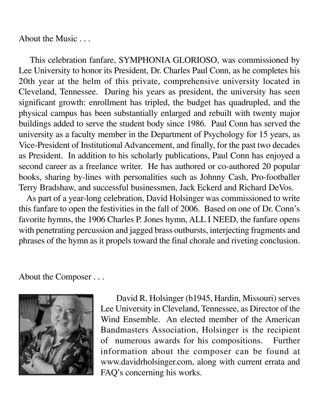About the Music . . .

 This celebration fanfare, SYMPHONIA GLORIOSO, was commissioned by Lee University to honor its President, Dr. Charles Paul Conn, as he completes his 20th year at the helm of this private, comprehensive university located in Cleveland, Tennessee. During his years as president, the university has seen significant growth: enrollment has tripled, the budget has quadrupled, and the physical campus has been substantially enlarged and rebuilt with twenty major buildings added to serve the student body since 1986. Paul Conn has served the university as a faculty member in the Department of Psychology for 15 years, as Vice-President of Institutional Advancement, and finally, for the past two decades as President. In addition to his scholarly publications, Paul Conn has enjoyed a second career as a freelance writer. He has authored or co-authored 20 popular books, sharing by-lines with personalities such as Johnny Cash, Pro-footballer Terry Bradshaw, and successful businessmen, Jack Eckerd and Richard DeVos.

 As part of a year-long celebration, David Holsinger was commissioned to write this fanfare to open the festivities in the fall of 2006. Based on one of Dr. Conn's favorite hymns, the 1906 Charles P. Jones hymn, ALL I NEED, the fanfare opens with penetrating percussion and jagged brass outbursts, interjecting fragments and phrases of the hymn as it propels toward the final chorale and riveting conclusion.

About the Composer . . .



 David R. Holsinger (b1945, Hardin, Missouri) serves Lee University in Cleveland, Tennessee, as Director of the Wind Ensemble. An elected member of the American Bandmasters Association, Holsinger is the recipient of numerous awards for his compositions. Further information about the composer can be found at www.davidrholsinger.com, along with current errata and FAQ's concerning his works.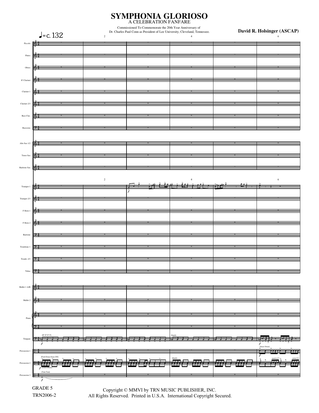

 Copyright © MMVI by TRN MUSIC PUBLISHER, INC. All Rights Reserved. Printed in U.S.A. International Copyright Secured..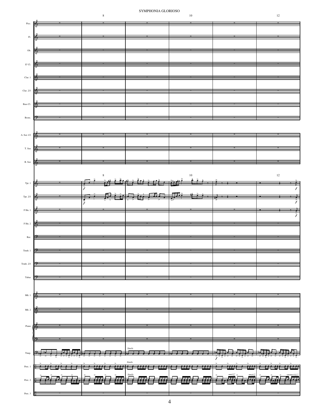### ${\tt SYMPHONIA}$   ${\tt GLORIOSO}$

 $10\,$ 

 $\,$  8  $\,$ 



| $\mathop{\text{\rm Picc}}$   | K        |                |                    |                |                 |
|------------------------------|----------|----------------|--------------------|----------------|-----------------|
|                              |          |                |                    |                |                 |
| $_{\rm Fl.}$                 |          |                |                    |                |                 |
| Ob.                          | Ѩ        |                |                    |                |                 |
|                              |          |                |                    |                |                 |
| $\mathbf{E}^2$ Cl.           |          |                |                    |                |                 |
|                              |          |                |                    |                |                 |
| ${\rm Char.}$ 1              | $\Phi$   |                |                    |                |                 |
| Clar. $2/3$                  | 厣        |                |                    |                |                 |
|                              |          |                |                    |                |                 |
| $_{\mbox{\small{Bass}~Cl.}}$ | 庵        |                |                    |                |                 |
|                              |          |                |                    |                |                 |
| Bssns.                       |          |                |                    |                |                 |
|                              |          |                |                    |                |                 |
| A. Sax $1/2$                 | $\equiv$ | Ξ              |                    |                |                 |
|                              |          |                |                    |                |                 |
| T. Sax                       | 圈        |                |                    |                |                 |
| $B.$ Sax                     | Кá       |                |                    |                |                 |
|                              |          |                |                    |                |                 |
|                              |          | 8              |                    | $\frac{10}{4}$ | $12\,$          |
| $Tpt.$ 1                     | ГФ       |                |                    |                |                 |
|                              |          | F              |                    | ≢≇             | f               |
| Tpt. $2/3$                   | 陭        | 幸<br>$\vec{f}$ | <del>且</del><br>春夏 | ▆▅             | $\bar{\bar{f}}$ |
| ${\rm F}$ Hn. $1$            | 棒        |                |                    |                |                 |
|                              |          |                |                    |                | $\frac{1}{f}$   |
| $\bar{\rm F}$ Hn. 2          | 厣        |                |                    |                |                 |
|                              |          |                |                    |                |                 |
| $_{\rm Bar.}$                |          |                |                    |                |                 |
| $\mbox{{\sc Trm}} b.1$       | ÞЭ       |                |                    |                |                 |
|                              |          |                |                    |                |                 |
| Trmb. 2/3                    | ⇒        |                |                    |                |                 |
|                              |          |                |                    |                |                 |
| Tubas                        |          |                |                    |                |                 |
|                              |          |                |                    |                |                 |
| $\mathbf{M}$ lt. 1           | 唏        |                |                    |                |                 |
|                              |          |                |                    |                |                 |
| $\mathbf{M}$ lt. 2           |          |                |                    |                |                 |
|                              |          |                |                    |                |                 |
| $\rm{Piano}$                 | l G      |                |                    |                |                 |
|                              |          |                |                    |                |                 |
|                              |          |                | Simile             |                |                 |
| Timp.                        |          |                |                    |                |                 |
|                              |          |                | $\emph{Simile}$    |                |                 |
| Perc. 1                      |          | <b>1441 14</b> |                    |                |                 |
| Perc. $2$                    |          |                | Simile             |                | <b>y</b>        |
|                              |          |                |                    |                |                 |
| Perc. 3                      |          |                |                    |                |                 |